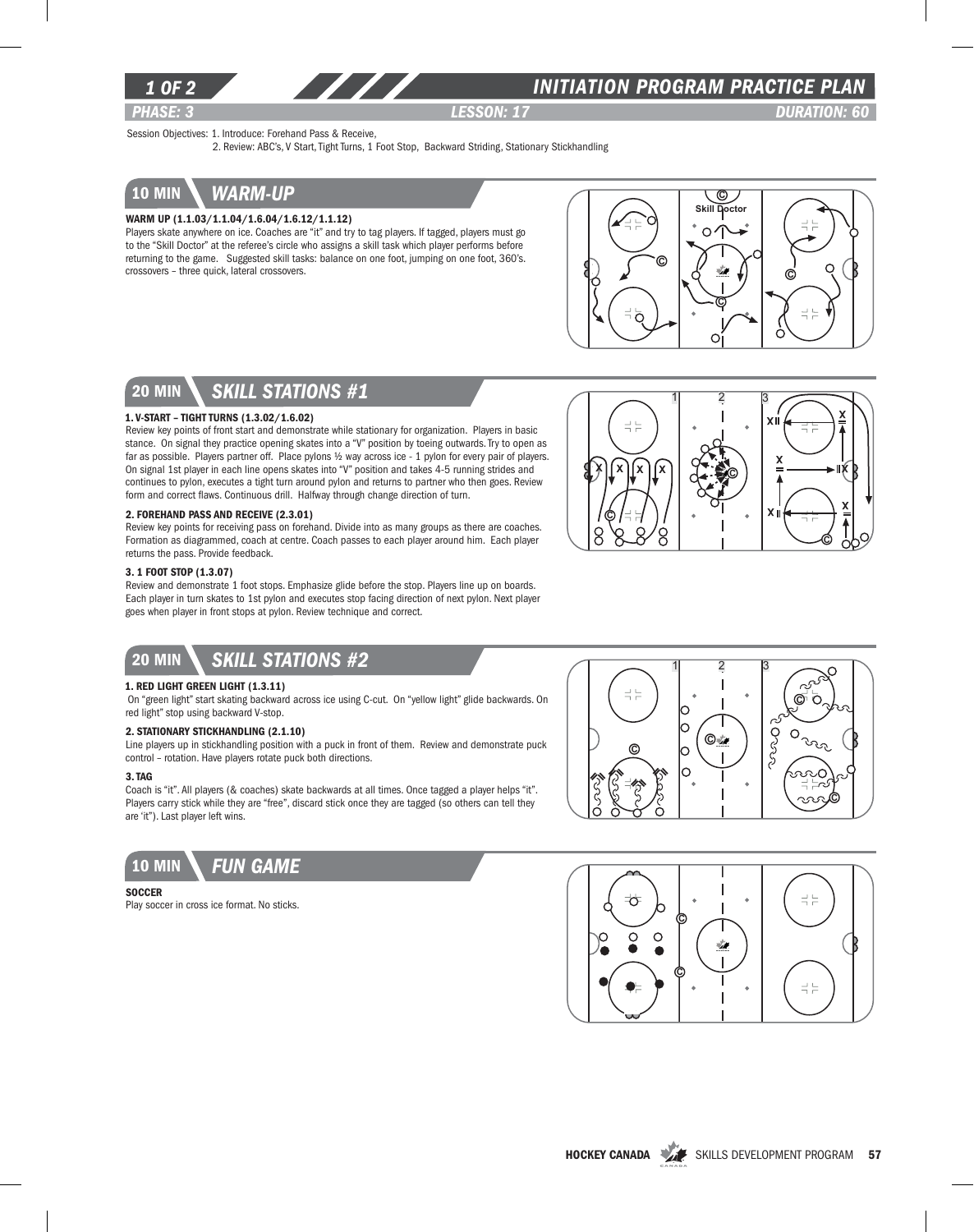

### *INITIATION program PRACTICE PLAN*

*PHASE: 3 lesson: 17 DURATION: 60* 

 $x \stackrel{\cdot}{\mathbf{a}} \stackrel{\cdot}{\longrightarrow} \stackrel{\times}{\mathbf{a}}$ 

 $x \mid \mathcal{L} \longrightarrow \mathbb{R}$ 

x

C

►lik

Session Objectives: 1. Introduce: Forehand Pass & Receive,

2. Review: ABC's, V Start, Tight Turns, 1 Foot Stop, Backward Striding, Stationary Stickhandling

## 10 min *warm-up*

### WARM UP (1.1.03/1.1.04/1.6.04/1.6.12/1.1.12)

Players skate anywhere on ice. Coaches are "it" and try to tag players. If tagged, players must go to the "Skill Doctor" at the referee's circle who assigns a skill task which player performs before returning to the game. Suggested skill tasks: balance on one foot, jumping on one foot, 360's. crossovers – three quick, lateral crossovers.



 $1 \quad 2 \quad 3$ 

X||x||x||x|| XX: 26

 $x|(x)|x$ 

C 8

루는

C

8

# 20 min *skill stations #1*

#### 1. V-start – Tight Turns (1.3.02/1.6.02)

Review key points of front start and demonstrate while stationary for organization. Players in basic stance. On signal they practice opening skates into a "V" position by toeing outwards. Try to open as far as possible. Players partner off. Place pylons 1/2 way across ice - 1 pylon for every pair of players. On signal 1st player in each line opens skates into "V" position and takes 4-5 running strides and continues to pylon, executes a tight turn around pylon and returns to partner who then goes. Review form and correct flaws. Continuous drill. Halfway through change direction of turn.

#### 2. Forehand Pass and Receive (2.3.01)

Review key points for receiving pass on forehand. Divide into as many groups as there are coaches. Formation as diagrammed, coach at centre. Coach passes to each player around him. Each player returns the pass. Provide feedback.

#### 3. 1 Foot Stop (1.3.07)

Review and demonstrate 1 foot stops. Emphasize glide before the stop. Players line up on boards. Each player in turn skates to 1st pylon and executes stop facing direction of next pylon. Next player goes when player in front stops at pylon. Review technique and correct.

### 20 min *Skill stations #2*

#### 1. Red Light Green Light (1.3.11)

 On "green light" start skating backward across ice using C-cut. On "yellow light" glide backwards. On red light" stop using backward V-stop.

#### 2. Stationary Stickhandling (2.1.10)

Line players up in stickhandling position with a puck in front of them. Review and demonstrate puck control – rotation. Have players rotate puck both directions.

### 3. Tag

Coach is "it". All players (& coaches) skate backwards at all times. Once tagged a player helps "it". Players carry stick while they are "free", discard stick once they are tagged (so others can tell they are 'it"). Last player left wins.



#### **SOCCER**

Play soccer in cross ice format. No sticks.